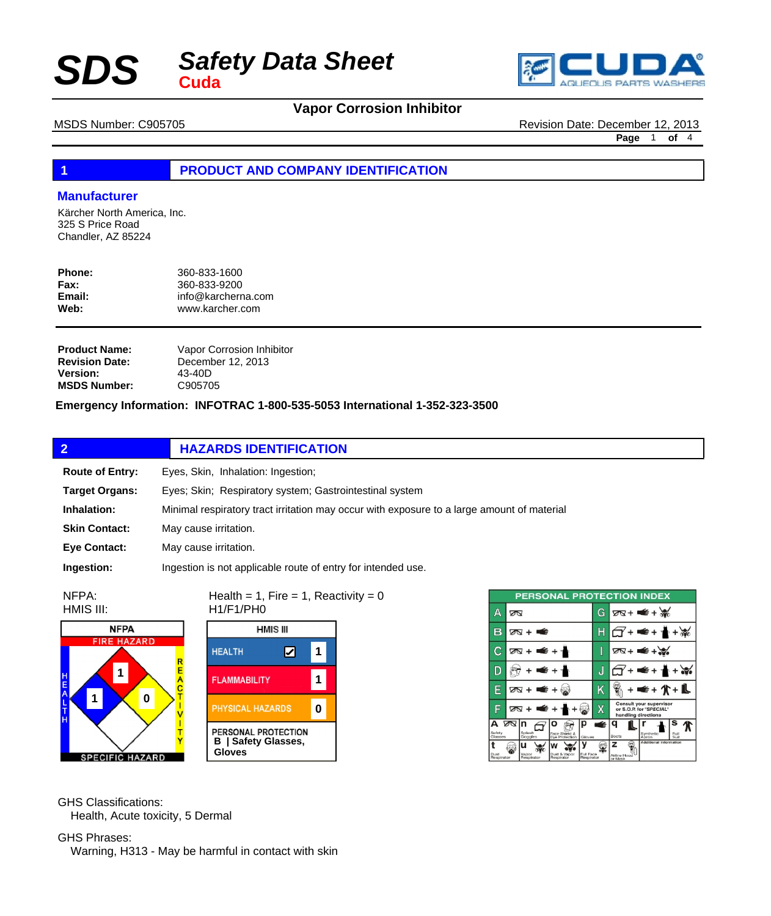



MSDS Number: C905705 Revision Date: December 12, 2013

**Page** 1 **of** 4

# **1 PRODUCT AND COMPANY IDENTIFICATION**

## **Manufacturer**

Kärcher North America, Inc. 325 S Price Road Chandler, AZ 85224

| Phone:      | 360-833-1600       |
|-------------|--------------------|
| <b>Fax:</b> | 360-833-9200       |
| Email:      | info@karcherna.com |
| Web:        | www.karcher.com    |

| <b>Product Name:</b>  | Vapor Corrosion Inhibitor |
|-----------------------|---------------------------|
| <b>Revision Date:</b> | December 12, 2013         |
| <b>Version:</b>       | 43-40D                    |
| <b>MSDS Number:</b>   | C905705                   |

**Emergency Information: INFOTRAC 1-800-535-5053 International 1-352-323-3500**

|                        | <b>HAZARDS IDENTIFICATION</b>                                                              |
|------------------------|--------------------------------------------------------------------------------------------|
| <b>Route of Entry:</b> | Eyes, Skin, Inhalation: Ingestion;                                                         |
| <b>Target Organs:</b>  | Eyes; Skin; Respiratory system; Gastrointestinal system                                    |
| Inhalation:            | Minimal respiratory tract irritation may occur with exposure to a large amount of material |
| <b>Skin Contact:</b>   | May cause irritation.                                                                      |
| <b>Eye Contact:</b>    | May cause irritation.                                                                      |
| Ingestion:             | Ingestion is not applicable route of entry for intended use.                               |

NFPA: HMIS III:





Health = 1, Fire = 1, Reactivity =  $0$ 

|                        | <b>PERSONAL PROTECTION INDEX</b>                          |                         |                                                                           |
|------------------------|-----------------------------------------------------------|-------------------------|---------------------------------------------------------------------------|
| Δ                      | ∞                                                         | G                       | $78 + 4 + 36$                                                             |
| в                      | ळ + क                                                     |                         | • ≇                                                                       |
| С                      | क्र + ≢ + ≁                                               | I                       | $2N + 4N$                                                                 |
| D                      | ∉ +                                                       | J                       | € + 1                                                                     |
| Ε                      | ⊠ + ■ + ⊗                                                 | Κ                       | <b>¥+介+L</b>                                                              |
| F                      | क्ष + ■€ + ។                                              | x                       | Consult your supervisor<br>or S.O.P. for "SPECIAL"<br>handling directions |
| А<br>Safety<br>Glasses | ∞<br>Splash<br>Face Shield &<br>Eve Protection<br>Goggles | €<br>Gloves             | s<br>Synthetic<br>Full<br>Boots<br>Suit<br>Apron                          |
| Dust<br>Respirator     | u<br>Dust & Vapor<br>Vapor<br>Respirator<br>Respirator    | Full Face<br>Respirator | Additional Information<br>z<br>Airline Hood<br>or Mask                    |

GHS Classifications: Health, Acute toxicity, 5 Dermal

GHS Phrases: Warning, H313 - May be harmful in contact with skin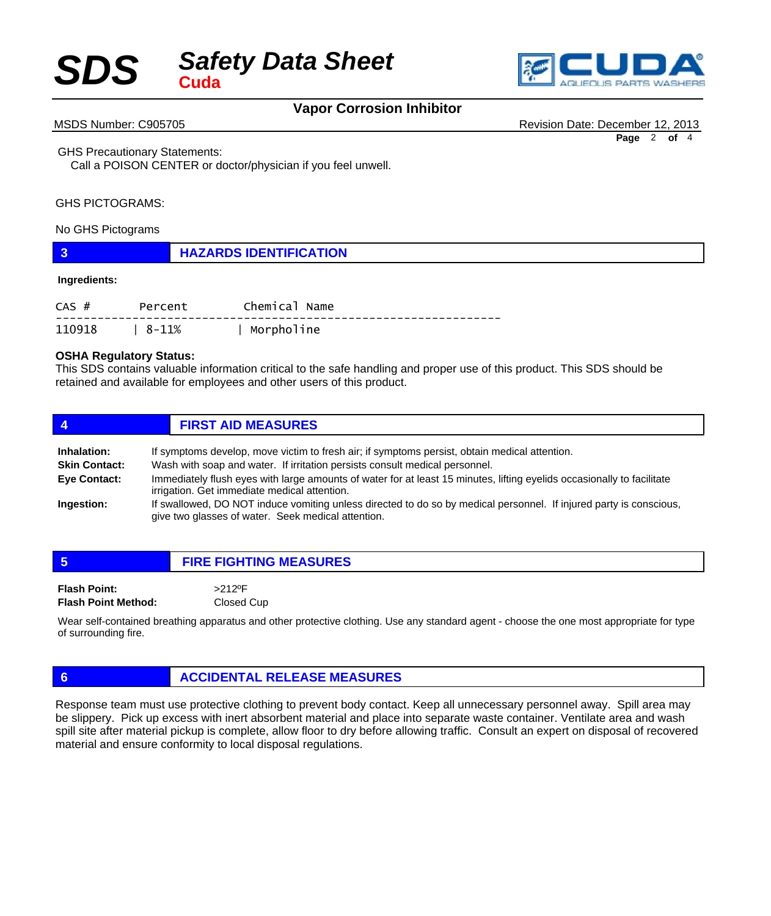



MSDS Number: C905705 **Revision Date: December 12, 2013** Revision Date: December 12, 2013

**Page** 2 **of** 4

GHS Precautionary Statements:

 Call a POISON CENTER or doctor/physician if you feel unwell.

## GHS PICTOGRAMS:

## No GHS Pictograms

|  | <b>HAZARDS IDENTIFICATION</b> |
|--|-------------------------------|
|--|-------------------------------|

### **Ingredients:**

| $CAS$ # | Percent        | Chemical Name |
|---------|----------------|---------------|
|         | 110918   8-11% | Morpholine    |

## **OSHA Regulatory Status:**

This SDS contains valuable information critical to the safe handling and proper use of this product. This SDS should be retained and available for employees and other users of this product.

| 4                    | <b>FIRST AID MEASURES</b>                                                                                                                                                |
|----------------------|--------------------------------------------------------------------------------------------------------------------------------------------------------------------------|
| <b>Inhalation:</b>   | If symptoms develop, move victim to fresh air; if symptoms persist, obtain medical attention.                                                                            |
| <b>Skin Contact:</b> | Wash with soap and water. If irritation persists consult medical personnel.                                                                                              |
| Eye Contact:         | Immediately flush eyes with large amounts of water for at least 15 minutes, lifting eyelids occasionally to facilitate<br>irrigation. Get immediate medical attention.   |
| Ingestion:           | If swallowed, DO NOT induce vomiting unless directed to do so by medical personnel. If injured party is conscious,<br>give two glasses of water. Seek medical attention. |

| -5                                                | <b>FIRE FIGHTING MEASURES</b>                                                                                             |
|---------------------------------------------------|---------------------------------------------------------------------------------------------------------------------------|
| <b>Flash Point:</b><br><b>Flash Point Method:</b> | $>212$ <sup>o</sup> F<br>Closed Cup                                                                                       |
|                                                   | Alexication and the state of the protective clothing. I lee any standard agent - choose the one most appropriate for type |

ear self-contained breathing apparatus and other protective clothing. Use any standard agent - choose the one most appropriate for type of surrounding fire.

# **6 ACCIDENTAL RELEASE MEASURES**

Response team must use protective clothing to prevent body contact. Keep all unnecessary personnel away. Spill area may be slippery. Pick up excess with inert absorbent material and place into separate waste container. Ventilate area and wash spill site after material pickup is complete, allow floor to dry before allowing traffic. Consult an expert on disposal of recovered material and ensure conformity to local disposal regulations.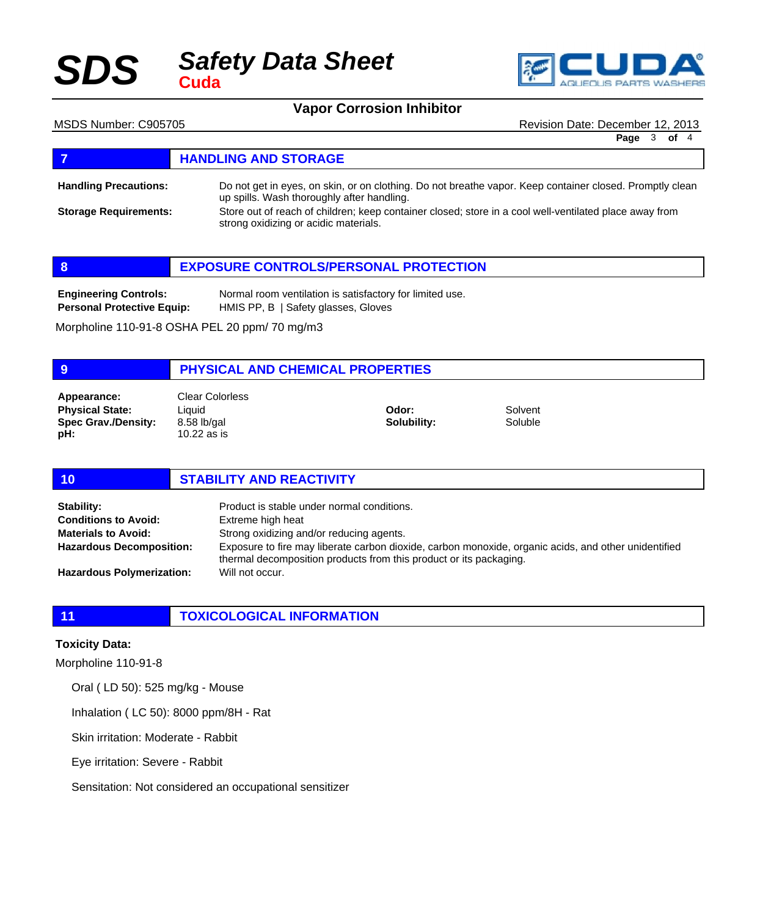

MSDS Number: C905705 **Revision Date: December 12, 2013** Revision Date: December 12, 2013

**Page** 3 **of** 4

# **FIGURE 12 IN STRAGE REPORTS AND STORAGE**

**Handling Precautions:**

Do not get in eyes, on skin, or on clothing. Do not breathe vapor. Keep container closed. Promptly clean up spills. Wash thoroughly after handling.

Store out of reach of children; keep container closed; store in a cool well-ventilated place away from strong oxidizing or acidic materials. **Storage Requirements:**

| -8                                | <b>EXPOSURE CONTROLS/PERSONAL PROTECTION</b>             |  |
|-----------------------------------|----------------------------------------------------------|--|
| <b>Engineering Controls:</b>      | Normal room ventilation is satisfactory for limited use. |  |
| <b>Personal Protective Equip:</b> | HMIS PP, B   Safety glasses, Gloves                      |  |

Morpholine 110-91-8 OSHA PEL 20 ppm/ 70 mg/m3

## **9 PHYSICAL AND CHEMICAL PROPERTIES**

**Physical State: Spec Grav./Density: pH: Appearance:** Clear Colorless

**Liquid** 8.58 lb/gal 10.22 as is

**Odor: Solubility:** Solvent Soluble

# **10 STABILITY AND REACTIVITY** Product is stable under normal conditions. **Stability:**

Extreme high heat Strong oxidizing and/or reducing agents. Exposure to fire may liberate carbon dioxide, carbon monoxide, organic acids, and other unidentified thermal decomposition products from this product or its packaging. Will not occur. **Conditions to Avoid: Materials to Avoid: Hazardous Decomposition: Hazardous Polymerization:**

# **11 TOXICOLOGICAL INFORMATION**

## **Toxicity Data:**

Morpholine 110-91-8

Oral ( LD 50): 525 mg/kg - Mouse

Inhalation ( LC 50): 8000 ppm/8H - Rat

Skin irritation: Moderate - Rabbit

Eye irritation: Severe - Rabbit

Sensitation: Not considered an occupational sensitizer